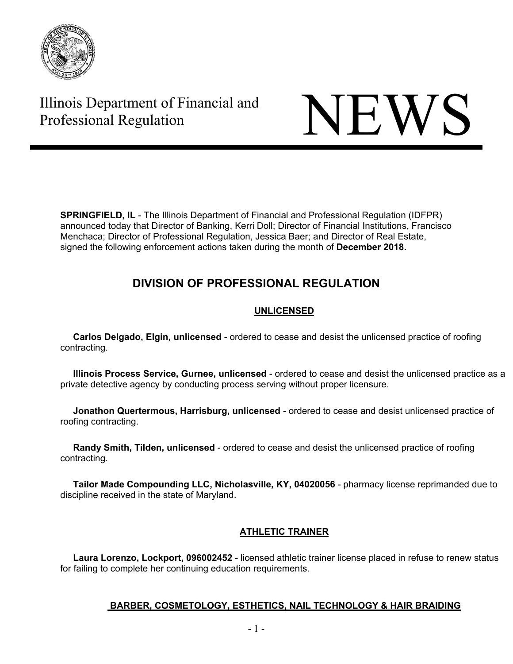

# Illinois Department of Financial and Illinois Department of Financial and<br>Professional Regulation

**SPRINGFIELD, IL** - The Illinois Department of Financial and Professional Regulation (IDFPR) announced today that Director of Banking, Kerri Doll; Director of Financial Institutions, Francisco Menchaca; Director of Professional Regulation, Jessica Baer; and Director of Real Estate, signed the following enforcement actions taken during the month of **December 2018.** 

## **DIVISION OF PROFESSIONAL REGULATION**

## **UNLICENSED**

 **Carlos Delgado, Elgin, unlicensed** - ordered to cease and desist the unlicensed practice of roofing contracting.

 **Illinois Process Service, Gurnee, unlicensed** - ordered to cease and desist the unlicensed practice as a private detective agency by conducting process serving without proper licensure.

 **Jonathon Quertermous, Harrisburg, unlicensed** - ordered to cease and desist unlicensed practice of roofing contracting.

 **Randy Smith, Tilden, unlicensed** - ordered to cease and desist the unlicensed practice of roofing contracting.

 **Tailor Made Compounding LLC, Nicholasville, KY, 04020056** - pharmacy license reprimanded due to discipline received in the state of Maryland.

## **ATHLETIC TRAINER**

 **Laura Lorenzo, Lockport, 096002452** - licensed athletic trainer license placed in refuse to renew status for failing to complete her continuing education requirements.

### **BARBER, COSMETOLOGY, ESTHETICS, NAIL TECHNOLOGY & HAIR BRAIDING**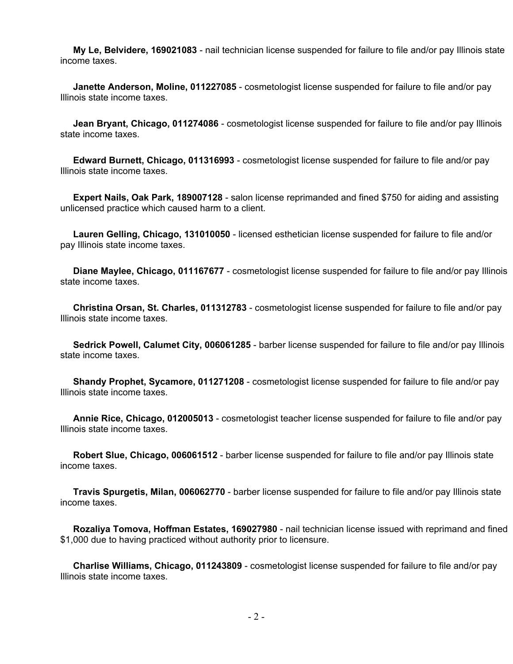**My Le, Belvidere, 169021083** - nail technician license suspended for failure to file and/or pay Illinois state income taxes.

 **Janette Anderson, Moline, 011227085** - cosmetologist license suspended for failure to file and/or pay Illinois state income taxes.

 **Jean Bryant, Chicago, 011274086** - cosmetologist license suspended for failure to file and/or pay Illinois state income taxes.

 **Edward Burnett, Chicago, 011316993** - cosmetologist license suspended for failure to file and/or pay Illinois state income taxes.

 **Expert Nails, Oak Park, 189007128** - salon license reprimanded and fined \$750 for aiding and assisting unlicensed practice which caused harm to a client.

 **Lauren Gelling, Chicago, 131010050** - licensed esthetician license suspended for failure to file and/or pay Illinois state income taxes.

 **Diane Maylee, Chicago, 011167677** - cosmetologist license suspended for failure to file and/or pay Illinois state income taxes.

 **Christina Orsan, St. Charles, 011312783** - cosmetologist license suspended for failure to file and/or pay Illinois state income taxes.

 **Sedrick Powell, Calumet City, 006061285** - barber license suspended for failure to file and/or pay Illinois state income taxes.

 **Shandy Prophet, Sycamore, 011271208** - cosmetologist license suspended for failure to file and/or pay Illinois state income taxes.

 **Annie Rice, Chicago, 012005013** - cosmetologist teacher license suspended for failure to file and/or pay Illinois state income taxes.

 **Robert Slue, Chicago, 006061512** - barber license suspended for failure to file and/or pay Illinois state income taxes.

 **Travis Spurgetis, Milan, 006062770** - barber license suspended for failure to file and/or pay Illinois state income taxes.

 **Rozaliya Tomova, Hoffman Estates, 169027980** - nail technician license issued with reprimand and fined \$1,000 due to having practiced without authority prior to licensure.

 **Charlise Williams, Chicago, 011243809** - cosmetologist license suspended for failure to file and/or pay Illinois state income taxes.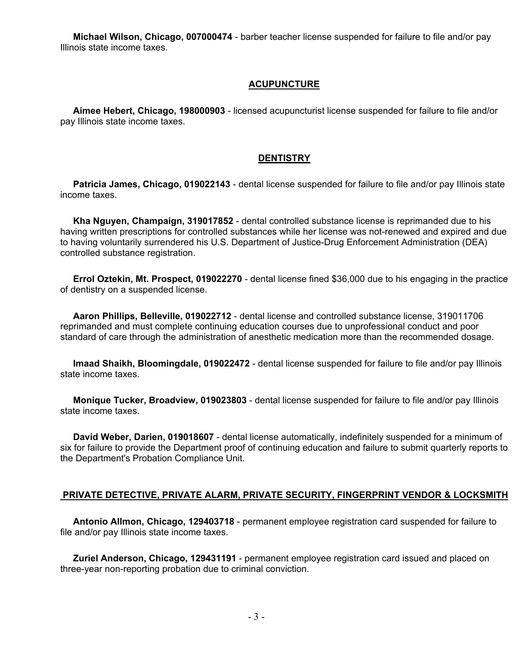**Michael Wilson, Chicago, 007000474** - barber teacher license suspended for failure to file and/or pay Illinois state income taxes.

#### **ACUPUNCTURE**

 **Aimee Hebert, Chicago, 198000903** - licensed acupuncturist license suspended for failure to file and/or pay Illinois state income taxes.

#### **DENTISTRY**

 **Patricia James, Chicago, 019022143** - dental license suspended for failure to file and/or pay Illinois state income taxes.

 **Kha Nguyen, Champaign, 319017852** - dental controlled substance license is reprimanded due to his having written prescriptions for controlled substances while her license was not-renewed and expired and due to having voluntarily surrendered his U.S. Department of Justice-Drug Enforcement Administration (DEA) controlled substance registration.

 **Errol Oztekin, Mt. Prospect, 019022270** - dental license fined \$36,000 due to his engaging in the practice of dentistry on a suspended license.

 **Aaron Phillips, Belleville, 019022712** - dental license and controlled substance license, 319011706 reprimanded and must complete continuing education courses due to unprofessional conduct and poor standard of care through the administration of anesthetic medication more than the recommended dosage.

 **Imaad Shaikh, Bloomingdale, 019022472** - dental license suspended for failure to file and/or pay Illinois state income taxes.

 **Monique Tucker, Broadview, 019023803** - dental license suspended for failure to file and/or pay Illinois state income taxes.

 **David Weber, Darien, 019018607** - dental license automatically, indefinitely suspended for a minimum of six for failure to provide the Department proof of continuing education and failure to submit quarterly reports to the Department's Probation Compliance Unit.

#### **PRIVATE DETECTIVE, PRIVATE ALARM, PRIVATE SECURITY, FINGERPRINT VENDOR & LOCKSMITH**

 **Antonio Allmon, Chicago, 129403718** - permanent employee registration card suspended for failure to file and/or pay Illinois state income taxes.

 **Zuriel Anderson, Chicago, 129431191** - permanent employee registration card issued and placed on three-year non-reporting probation due to criminal conviction.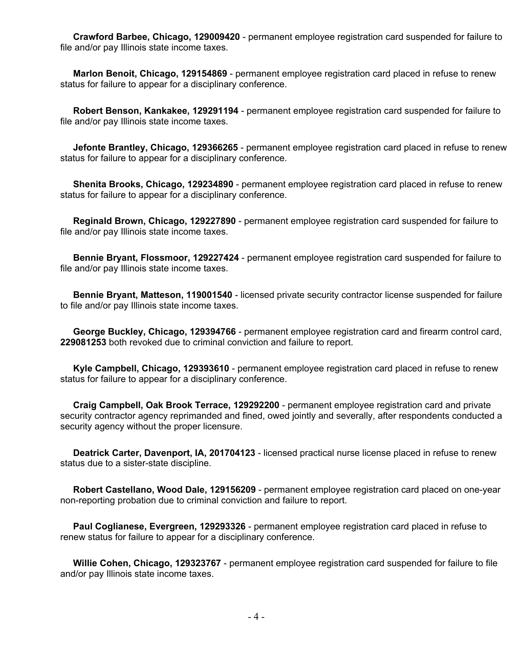**Crawford Barbee, Chicago, 129009420** - permanent employee registration card suspended for failure to file and/or pay Illinois state income taxes.

 **Marlon Benoit, Chicago, 129154869** - permanent employee registration card placed in refuse to renew status for failure to appear for a disciplinary conference.

 **Robert Benson, Kankakee, 129291194** - permanent employee registration card suspended for failure to file and/or pay Illinois state income taxes.

 **Jefonte Brantley, Chicago, 129366265** - permanent employee registration card placed in refuse to renew status for failure to appear for a disciplinary conference.

 **Shenita Brooks, Chicago, 129234890** - permanent employee registration card placed in refuse to renew status for failure to appear for a disciplinary conference.

 **Reginald Brown, Chicago, 129227890** - permanent employee registration card suspended for failure to file and/or pay Illinois state income taxes.

 **Bennie Bryant, Flossmoor, 129227424** - permanent employee registration card suspended for failure to file and/or pay Illinois state income taxes.

 **Bennie Bryant, Matteson, 119001540** - licensed private security contractor license suspended for failure to file and/or pay Illinois state income taxes.

 **George Buckley, Chicago, 129394766** - permanent employee registration card and firearm control card, **229081253** both revoked due to criminal conviction and failure to report.

 **Kyle Campbell, Chicago, 129393610** - permanent employee registration card placed in refuse to renew status for failure to appear for a disciplinary conference.

 **Craig Campbell, Oak Brook Terrace, 129292200** - permanent employee registration card and private security contractor agency reprimanded and fined, owed jointly and severally, after respondents conducted a security agency without the proper licensure.

 **Deatrick Carter, Davenport, IA, 201704123** - licensed practical nurse license placed in refuse to renew status due to a sister-state discipline.

 **Robert Castellano, Wood Dale, 129156209** - permanent employee registration card placed on one-year non-reporting probation due to criminal conviction and failure to report.

 **Paul Coglianese, Evergreen, 129293326** - permanent employee registration card placed in refuse to renew status for failure to appear for a disciplinary conference.

 **Willie Cohen, Chicago, 129323767** - permanent employee registration card suspended for failure to file and/or pay Illinois state income taxes.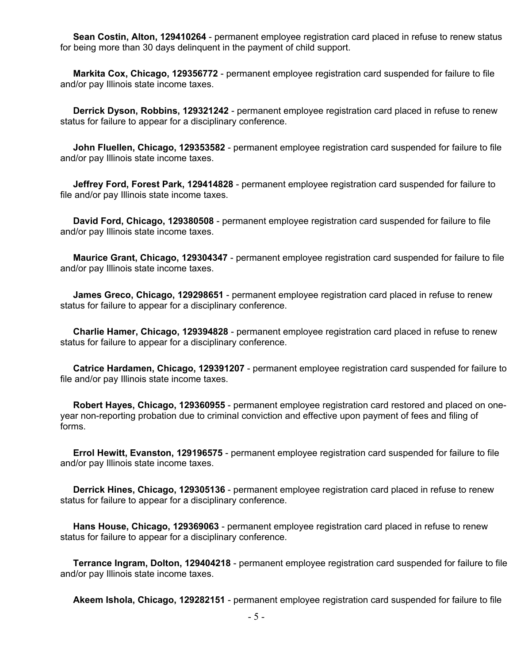**Sean Costin, Alton, 129410264** - permanent employee registration card placed in refuse to renew status for being more than 30 days delinquent in the payment of child support.

 **Markita Cox, Chicago, 129356772** - permanent employee registration card suspended for failure to file and/or pay Illinois state income taxes.

 **Derrick Dyson, Robbins, 129321242** - permanent employee registration card placed in refuse to renew status for failure to appear for a disciplinary conference.

 **John Fluellen, Chicago, 129353582** - permanent employee registration card suspended for failure to file and/or pay Illinois state income taxes.

 **Jeffrey Ford, Forest Park, 129414828** - permanent employee registration card suspended for failure to file and/or pay Illinois state income taxes.

 **David Ford, Chicago, 129380508** - permanent employee registration card suspended for failure to file and/or pay Illinois state income taxes.

 **Maurice Grant, Chicago, 129304347** - permanent employee registration card suspended for failure to file and/or pay Illinois state income taxes.

 **James Greco, Chicago, 129298651** - permanent employee registration card placed in refuse to renew status for failure to appear for a disciplinary conference.

 **Charlie Hamer, Chicago, 129394828** - permanent employee registration card placed in refuse to renew status for failure to appear for a disciplinary conference.

 **Catrice Hardamen, Chicago, 129391207** - permanent employee registration card suspended for failure to file and/or pay Illinois state income taxes.

 **Robert Hayes, Chicago, 129360955** - permanent employee registration card restored and placed on oneyear non-reporting probation due to criminal conviction and effective upon payment of fees and filing of forms.

 **Errol Hewitt, Evanston, 129196575** - permanent employee registration card suspended for failure to file and/or pay Illinois state income taxes.

 **Derrick Hines, Chicago, 129305136** - permanent employee registration card placed in refuse to renew status for failure to appear for a disciplinary conference.

 **Hans House, Chicago, 129369063** - permanent employee registration card placed in refuse to renew status for failure to appear for a disciplinary conference.

 **Terrance Ingram, Dolton, 129404218** - permanent employee registration card suspended for failure to file and/or pay Illinois state income taxes.

**Akeem Ishola, Chicago, 129282151** - permanent employee registration card suspended for failure to file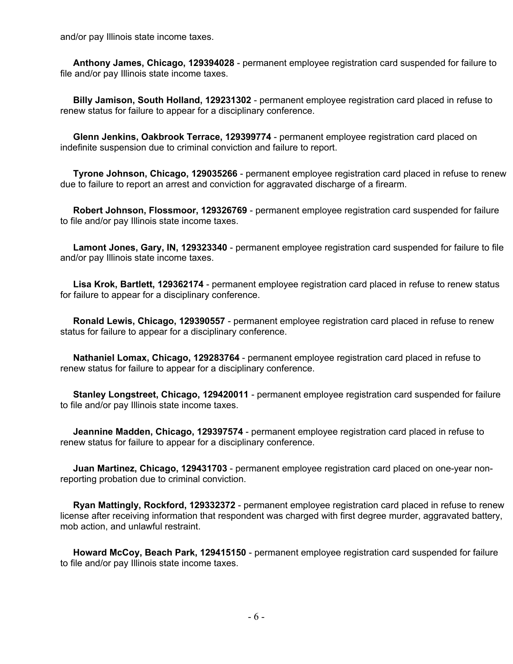and/or pay Illinois state income taxes.

 **Anthony James, Chicago, 129394028** - permanent employee registration card suspended for failure to file and/or pay Illinois state income taxes.

 **Billy Jamison, South Holland, 129231302** - permanent employee registration card placed in refuse to renew status for failure to appear for a disciplinary conference.

 **Glenn Jenkins, Oakbrook Terrace, 129399774** - permanent employee registration card placed on indefinite suspension due to criminal conviction and failure to report.

 **Tyrone Johnson, Chicago, 129035266** - permanent employee registration card placed in refuse to renew due to failure to report an arrest and conviction for aggravated discharge of a firearm.

 **Robert Johnson, Flossmoor, 129326769** - permanent employee registration card suspended for failure to file and/or pay Illinois state income taxes.

 **Lamont Jones, Gary, IN, 129323340** - permanent employee registration card suspended for failure to file and/or pay Illinois state income taxes.

 **Lisa Krok, Bartlett, 129362174** - permanent employee registration card placed in refuse to renew status for failure to appear for a disciplinary conference.

 **Ronald Lewis, Chicago, 129390557** - permanent employee registration card placed in refuse to renew status for failure to appear for a disciplinary conference.

 **Nathaniel Lomax, Chicago, 129283764** - permanent employee registration card placed in refuse to renew status for failure to appear for a disciplinary conference.

 **Stanley Longstreet, Chicago, 129420011** - permanent employee registration card suspended for failure to file and/or pay Illinois state income taxes.

 **Jeannine Madden, Chicago, 129397574** - permanent employee registration card placed in refuse to renew status for failure to appear for a disciplinary conference.

 **Juan Martinez, Chicago, 129431703** - permanent employee registration card placed on one-year nonreporting probation due to criminal conviction.

 **Ryan Mattingly, Rockford, 129332372** - permanent employee registration card placed in refuse to renew license after receiving information that respondent was charged with first degree murder, aggravated battery, mob action, and unlawful restraint.

 **Howard McCoy, Beach Park, 129415150** - permanent employee registration card suspended for failure to file and/or pay Illinois state income taxes.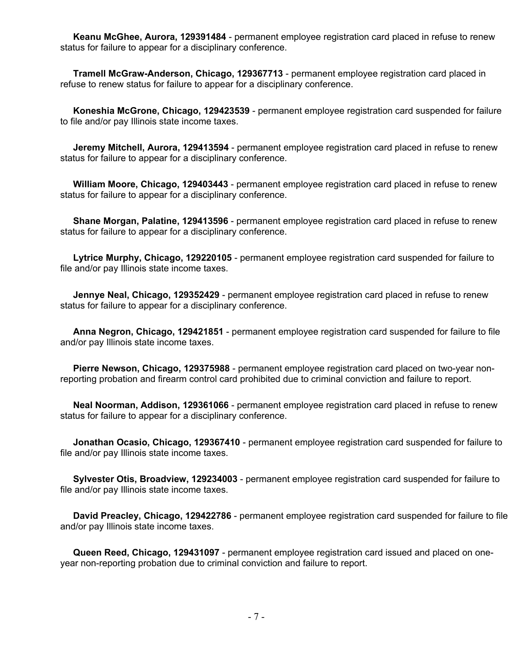**Keanu McGhee, Aurora, 129391484** - permanent employee registration card placed in refuse to renew status for failure to appear for a disciplinary conference.

 **Tramell McGraw-Anderson, Chicago, 129367713** - permanent employee registration card placed in refuse to renew status for failure to appear for a disciplinary conference.

 **Koneshia McGrone, Chicago, 129423539** - permanent employee registration card suspended for failure to file and/or pay Illinois state income taxes.

 **Jeremy Mitchell, Aurora, 129413594** - permanent employee registration card placed in refuse to renew status for failure to appear for a disciplinary conference.

 **William Moore, Chicago, 129403443** - permanent employee registration card placed in refuse to renew status for failure to appear for a disciplinary conference.

 **Shane Morgan, Palatine, 129413596** - permanent employee registration card placed in refuse to renew status for failure to appear for a disciplinary conference.

 **Lytrice Murphy, Chicago, 129220105** - permanent employee registration card suspended for failure to file and/or pay Illinois state income taxes.

 **Jennye Neal, Chicago, 129352429** - permanent employee registration card placed in refuse to renew status for failure to appear for a disciplinary conference.

 **Anna Negron, Chicago, 129421851** - permanent employee registration card suspended for failure to file and/or pay Illinois state income taxes.

 **Pierre Newson, Chicago, 129375988** - permanent employee registration card placed on two-year nonreporting probation and firearm control card prohibited due to criminal conviction and failure to report.

 **Neal Noorman, Addison, 129361066** - permanent employee registration card placed in refuse to renew status for failure to appear for a disciplinary conference.

 **Jonathan Ocasio, Chicago, 129367410** - permanent employee registration card suspended for failure to file and/or pay Illinois state income taxes.

 **Sylvester Otis, Broadview, 129234003** - permanent employee registration card suspended for failure to file and/or pay Illinois state income taxes.

 **David Preacley, Chicago, 129422786** - permanent employee registration card suspended for failure to file and/or pay Illinois state income taxes.

 **Queen Reed, Chicago, 129431097** - permanent employee registration card issued and placed on oneyear non-reporting probation due to criminal conviction and failure to report.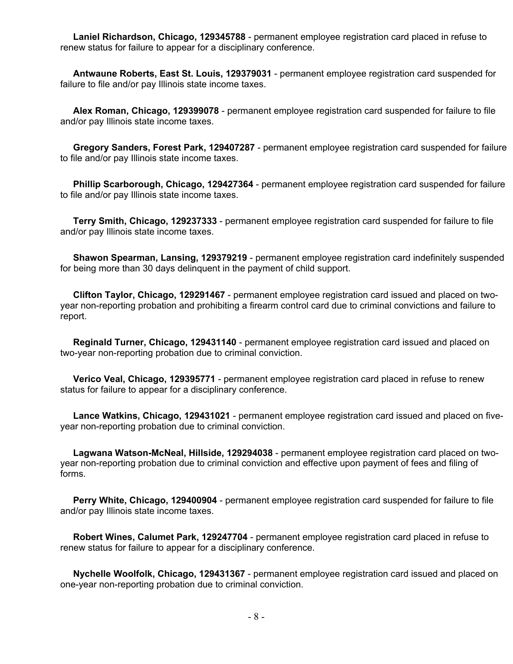**Laniel Richardson, Chicago, 129345788** - permanent employee registration card placed in refuse to renew status for failure to appear for a disciplinary conference.

 **Antwaune Roberts, East St. Louis, 129379031** - permanent employee registration card suspended for failure to file and/or pay Illinois state income taxes.

 **Alex Roman, Chicago, 129399078** - permanent employee registration card suspended for failure to file and/or pay Illinois state income taxes.

 **Gregory Sanders, Forest Park, 129407287** - permanent employee registration card suspended for failure to file and/or pay Illinois state income taxes.

 **Phillip Scarborough, Chicago, 129427364** - permanent employee registration card suspended for failure to file and/or pay Illinois state income taxes.

 **Terry Smith, Chicago, 129237333** - permanent employee registration card suspended for failure to file and/or pay Illinois state income taxes.

 **Shawon Spearman, Lansing, 129379219** - permanent employee registration card indefinitely suspended for being more than 30 days delinquent in the payment of child support.

 **Clifton Taylor, Chicago, 129291467** - permanent employee registration card issued and placed on twoyear non-reporting probation and prohibiting a firearm control card due to criminal convictions and failure to report.

 **Reginald Turner, Chicago, 129431140** - permanent employee registration card issued and placed on two-year non-reporting probation due to criminal conviction.

 **Verico Veal, Chicago, 129395771** - permanent employee registration card placed in refuse to renew status for failure to appear for a disciplinary conference.

 **Lance Watkins, Chicago, 129431021** - permanent employee registration card issued and placed on fiveyear non-reporting probation due to criminal conviction.

 **Lagwana Watson-McNeal, Hillside, 129294038** - permanent employee registration card placed on twoyear non-reporting probation due to criminal conviction and effective upon payment of fees and filing of forms.

 **Perry White, Chicago, 129400904** - permanent employee registration card suspended for failure to file and/or pay Illinois state income taxes.

 **Robert Wines, Calumet Park, 129247704** - permanent employee registration card placed in refuse to renew status for failure to appear for a disciplinary conference.

 **Nychelle Woolfolk, Chicago, 129431367** - permanent employee registration card issued and placed on one-year non-reporting probation due to criminal conviction.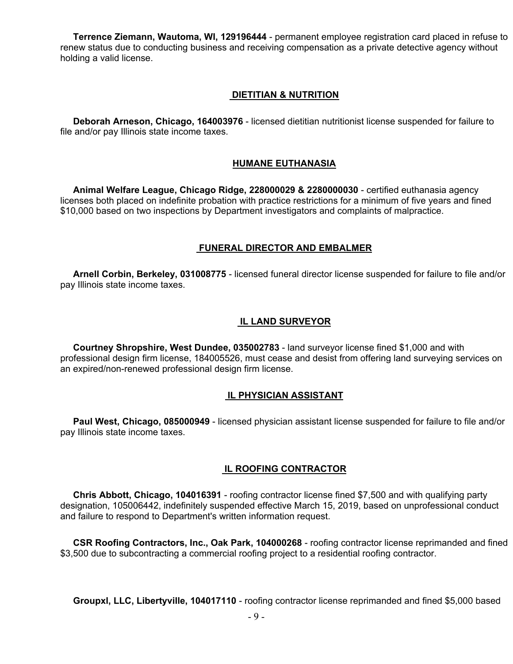**Terrence Ziemann, Wautoma, WI, 129196444** - permanent employee registration card placed in refuse to renew status due to conducting business and receiving compensation as a private detective agency without holding a valid license.

#### **DIETITIAN & NUTRITION**

 **Deborah Arneson, Chicago, 164003976** - licensed dietitian nutritionist license suspended for failure to file and/or pay Illinois state income taxes.

#### **HUMANE EUTHANASIA**

 **Animal Welfare League, Chicago Ridge, 228000029 & 2280000030** - certified euthanasia agency licenses both placed on indefinite probation with practice restrictions for a minimum of five years and fined \$10,000 based on two inspections by Department investigators and complaints of malpractice.

#### **FUNERAL DIRECTOR AND EMBALMER**

 **Arnell Corbin, Berkeley, 031008775** - licensed funeral director license suspended for failure to file and/or pay Illinois state income taxes.

#### **IL LAND SURVEYOR**

 **Courtney Shropshire, West Dundee, 035002783** - land surveyor license fined \$1,000 and with professional design firm license, 184005526, must cease and desist from offering land surveying services on an expired/non-renewed professional design firm license.

#### **IL PHYSICIAN ASSISTANT**

 **Paul West, Chicago, 085000949** - licensed physician assistant license suspended for failure to file and/or pay Illinois state income taxes.

#### **IL ROOFING CONTRACTOR**

 **Chris Abbott, Chicago, 104016391** - roofing contractor license fined \$7,500 and with qualifying party designation, 105006442, indefinitely suspended effective March 15, 2019, based on unprofessional conduct and failure to respond to Department's written information request.

 **CSR Roofing Contractors, Inc., Oak Park, 104000268** - roofing contractor license reprimanded and fined \$3,500 due to subcontracting a commercial roofing project to a residential roofing contractor.

**Groupxl, LLC, Libertyville, 104017110** - roofing contractor license reprimanded and fined \$5,000 based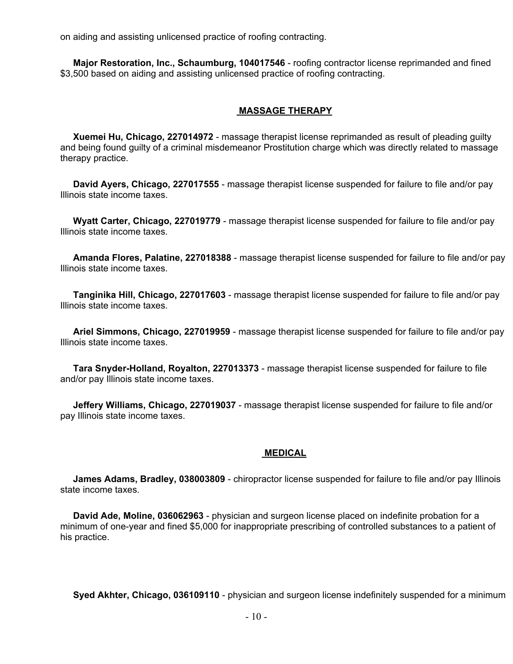on aiding and assisting unlicensed practice of roofing contracting.

 **Major Restoration, Inc., Schaumburg, 104017546** - roofing contractor license reprimanded and fined \$3,500 based on aiding and assisting unlicensed practice of roofing contracting.

#### **MASSAGE THERAPY**

 **Xuemei Hu, Chicago, 227014972** - massage therapist license reprimanded as result of pleading guilty and being found guilty of a criminal misdemeanor Prostitution charge which was directly related to massage therapy practice.

 **David Ayers, Chicago, 227017555** - massage therapist license suspended for failure to file and/or pay Illinois state income taxes.

 **Wyatt Carter, Chicago, 227019779** - massage therapist license suspended for failure to file and/or pay Illinois state income taxes.

 **Amanda Flores, Palatine, 227018388** - massage therapist license suspended for failure to file and/or pay Illinois state income taxes.

 **Tanginika Hill, Chicago, 227017603** - massage therapist license suspended for failure to file and/or pay Illinois state income taxes.

 **Ariel Simmons, Chicago, 227019959** - massage therapist license suspended for failure to file and/or pay Illinois state income taxes.

 **Tara Snyder-Holland, Royalton, 227013373** - massage therapist license suspended for failure to file and/or pay Illinois state income taxes.

 **Jeffery Williams, Chicago, 227019037** - massage therapist license suspended for failure to file and/or pay Illinois state income taxes.

#### **MEDICAL**

 **James Adams, Bradley, 038003809** - chiropractor license suspended for failure to file and/or pay Illinois state income taxes.

 **David Ade, Moline, 036062963** - physician and surgeon license placed on indefinite probation for a minimum of one-year and fined \$5,000 for inappropriate prescribing of controlled substances to a patient of his practice.

**Syed Akhter, Chicago, 036109110** - physician and surgeon license indefinitely suspended for a minimum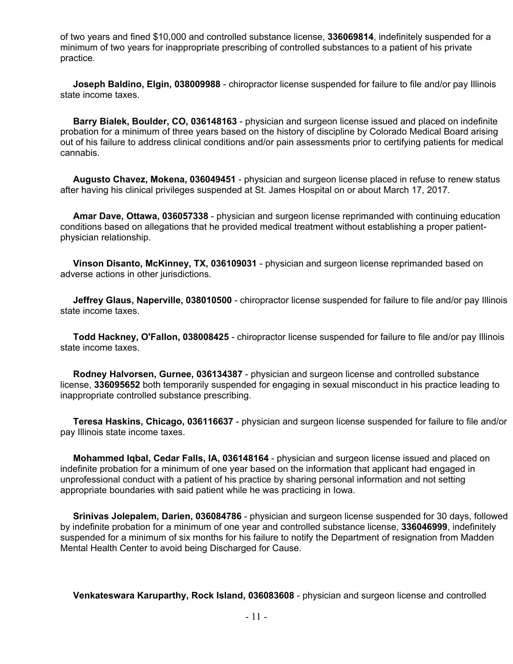of two years and fined \$10,000 and controlled substance license, **336069814**, indefinitely suspended for a minimum of two years for inappropriate prescribing of controlled substances to a patient of his private practice.

 **Joseph Baldino, Elgin, 038009988** - chiropractor license suspended for failure to file and/or pay Illinois state income taxes.

 **Barry Bialek, Boulder, CO, 036148163** - physician and surgeon license issued and placed on indefinite probation for a minimum of three years based on the history of discipline by Colorado Medical Board arising out of his failure to address clinical conditions and/or pain assessments prior to certifying patients for medical cannabis.

 **Augusto Chavez, Mokena, 036049451** - physician and surgeon license placed in refuse to renew status after having his clinical privileges suspended at St. James Hospital on or about March 17, 2017.

 **Amar Dave, Ottawa, 036057338** - physician and surgeon license reprimanded with continuing education conditions based on allegations that he provided medical treatment without establishing a proper patientphysician relationship.

 **Vinson Disanto, McKinney, TX, 036109031** - physician and surgeon license reprimanded based on adverse actions in other jurisdictions.

 **Jeffrey Glaus, Naperville, 038010500** - chiropractor license suspended for failure to file and/or pay Illinois state income taxes.

 **Todd Hackney, O'Fallon, 038008425** - chiropractor license suspended for failure to file and/or pay Illinois state income taxes.

 **Rodney Halvorsen, Gurnee, 036134387** - physician and surgeon license and controlled substance license, **336095652** both temporarily suspended for engaging in sexual misconduct in his practice leading to inappropriate controlled substance prescribing.

 **Teresa Haskins, Chicago, 036116637** - physician and surgeon license suspended for failure to file and/or pay Illinois state income taxes.

 **Mohammed Iqbal, Cedar Falls, IA, 036148164** - physician and surgeon license issued and placed on indefinite probation for a minimum of one year based on the information that applicant had engaged in unprofessional conduct with a patient of his practice by sharing personal information and not setting appropriate boundaries with said patient while he was practicing in Iowa.

 **Srinivas Jolepalem, Darien, 036084786** - physician and surgeon license suspended for 30 days, followed by indefinite probation for a minimum of one year and controlled substance license, **336046999**, indefinitely suspended for a minimum of six months for his failure to notify the Department of resignation from Madden Mental Health Center to avoid being Discharged for Cause.

**Venkateswara Karuparthy, Rock Island, 036083608** - physician and surgeon license and controlled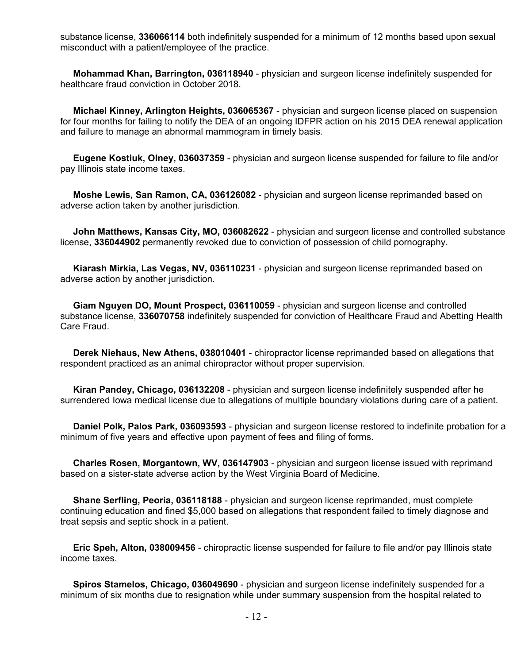substance license, **336066114** both indefinitely suspended for a minimum of 12 months based upon sexual misconduct with a patient/employee of the practice.

 **Mohammad Khan, Barrington, 036118940** - physician and surgeon license indefinitely suspended for healthcare fraud conviction in October 2018.

 **Michael Kinney, Arlington Heights, 036065367** - physician and surgeon license placed on suspension for four months for failing to notify the DEA of an ongoing IDFPR action on his 2015 DEA renewal application and failure to manage an abnormal mammogram in timely basis.

 **Eugene Kostiuk, Olney, 036037359** - physician and surgeon license suspended for failure to file and/or pay Illinois state income taxes.

 **Moshe Lewis, San Ramon, CA, 036126082** - physician and surgeon license reprimanded based on adverse action taken by another jurisdiction.

 **John Matthews, Kansas City, MO, 036082622** - physician and surgeon license and controlled substance license, **336044902** permanently revoked due to conviction of possession of child pornography.

 **Kiarash Mirkia, Las Vegas, NV, 036110231** - physician and surgeon license reprimanded based on adverse action by another jurisdiction.

 **Giam Nguyen DO, Mount Prospect, 036110059** - physician and surgeon license and controlled substance license, **336070758** indefinitely suspended for conviction of Healthcare Fraud and Abetting Health Care Fraud.

 **Derek Niehaus, New Athens, 038010401** - chiropractor license reprimanded based on allegations that respondent practiced as an animal chiropractor without proper supervision.

 **Kiran Pandey, Chicago, 036132208** - physician and surgeon license indefinitely suspended after he surrendered Iowa medical license due to allegations of multiple boundary violations during care of a patient.

 **Daniel Polk, Palos Park, 036093593** - physician and surgeon license restored to indefinite probation for a minimum of five years and effective upon payment of fees and filing of forms.

 **Charles Rosen, Morgantown, WV, 036147903** - physician and surgeon license issued with reprimand based on a sister-state adverse action by the West Virginia Board of Medicine.

 **Shane Serfling, Peoria, 036118188** - physician and surgeon license reprimanded, must complete continuing education and fined \$5,000 based on allegations that respondent failed to timely diagnose and treat sepsis and septic shock in a patient.

 **Eric Speh, Alton, 038009456** - chiropractic license suspended for failure to file and/or pay Illinois state income taxes.

 **Spiros Stamelos, Chicago, 036049690** - physician and surgeon license indefinitely suspended for a minimum of six months due to resignation while under summary suspension from the hospital related to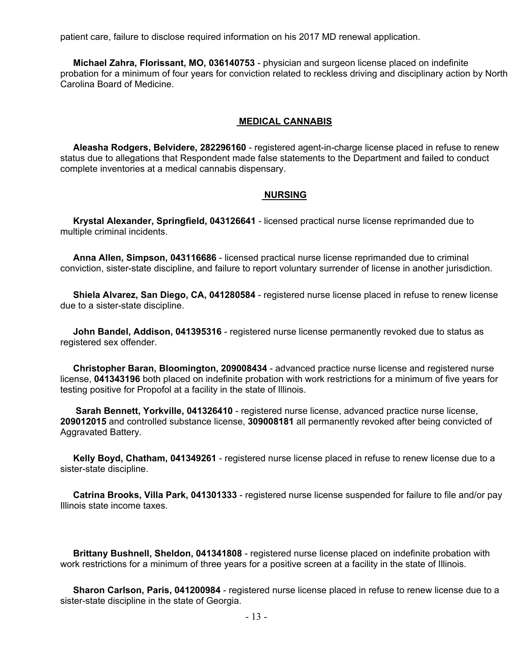patient care, failure to disclose required information on his 2017 MD renewal application.

 **Michael Zahra, Florissant, MO, 036140753** - physician and surgeon license placed on indefinite probation for a minimum of four years for conviction related to reckless driving and disciplinary action by North Carolina Board of Medicine.

#### **MEDICAL CANNABIS**

 **Aleasha Rodgers, Belvidere, 282296160** - registered agent-in-charge license placed in refuse to renew status due to allegations that Respondent made false statements to the Department and failed to conduct complete inventories at a medical cannabis dispensary.

#### **NURSING**

 **Krystal Alexander, Springfield, 043126641** - licensed practical nurse license reprimanded due to multiple criminal incidents.

 **Anna Allen, Simpson, 043116686** - licensed practical nurse license reprimanded due to criminal conviction, sister-state discipline, and failure to report voluntary surrender of license in another jurisdiction.

 **Shiela Alvarez, San Diego, CA, 041280584** - registered nurse license placed in refuse to renew license due to a sister-state discipline.

 **John Bandel, Addison, 041395316** - registered nurse license permanently revoked due to status as registered sex offender.

 **Christopher Baran, Bloomington, 209008434** - advanced practice nurse license and registered nurse license, **041343196** both placed on indefinite probation with work restrictions for a minimum of five years for testing positive for Propofol at a facility in the state of Illinois.

 **Sarah Bennett, Yorkville, 041326410** - registered nurse license, advanced practice nurse license, **209012015** and controlled substance license, **309008181** all permanently revoked after being convicted of Aggravated Battery.

 **Kelly Boyd, Chatham, 041349261** - registered nurse license placed in refuse to renew license due to a sister-state discipline.

 **Catrina Brooks, Villa Park, 041301333** - registered nurse license suspended for failure to file and/or pay Illinois state income taxes.

 **Brittany Bushnell, Sheldon, 041341808** - registered nurse license placed on indefinite probation with work restrictions for a minimum of three years for a positive screen at a facility in the state of Illinois.

 **Sharon Carlson, Paris, 041200984** - registered nurse license placed in refuse to renew license due to a sister-state discipline in the state of Georgia.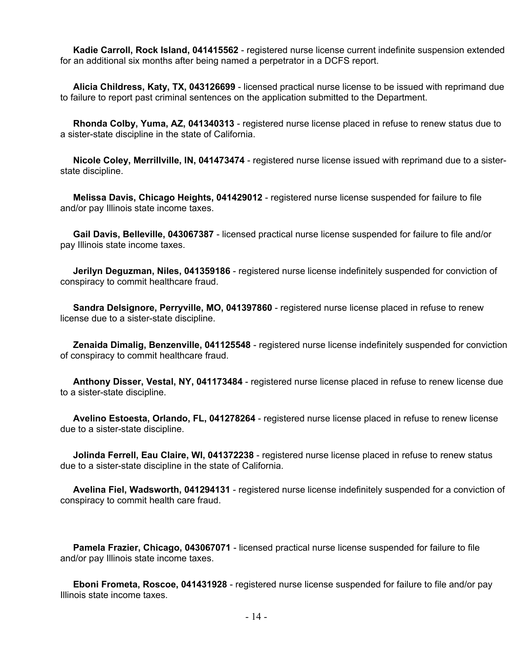**Kadie Carroll, Rock Island, 041415562** - registered nurse license current indefinite suspension extended for an additional six months after being named a perpetrator in a DCFS report.

 **Alicia Childress, Katy, TX, 043126699** - licensed practical nurse license to be issued with reprimand due to failure to report past criminal sentences on the application submitted to the Department.

 **Rhonda Colby, Yuma, AZ, 041340313** - registered nurse license placed in refuse to renew status due to a sister-state discipline in the state of California.

 **Nicole Coley, Merrillville, IN, 041473474** - registered nurse license issued with reprimand due to a sisterstate discipline.

 **Melissa Davis, Chicago Heights, 041429012** - registered nurse license suspended for failure to file and/or pay Illinois state income taxes.

 **Gail Davis, Belleville, 043067387** - licensed practical nurse license suspended for failure to file and/or pay Illinois state income taxes.

 **Jerilyn Deguzman, Niles, 041359186** - registered nurse license indefinitely suspended for conviction of conspiracy to commit healthcare fraud.

 **Sandra Delsignore, Perryville, MO, 041397860** - registered nurse license placed in refuse to renew license due to a sister-state discipline.

 **Zenaida Dimalig, Benzenville, 041125548** - registered nurse license indefinitely suspended for conviction of conspiracy to commit healthcare fraud.

 **Anthony Disser, Vestal, NY, 041173484** - registered nurse license placed in refuse to renew license due to a sister-state discipline.

 **Avelino Estoesta, Orlando, FL, 041278264** - registered nurse license placed in refuse to renew license due to a sister-state discipline.

 **Jolinda Ferrell, Eau Claire, WI, 041372238** - registered nurse license placed in refuse to renew status due to a sister-state discipline in the state of California.

 **Avelina Fiel, Wadsworth, 041294131** - registered nurse license indefinitely suspended for a conviction of conspiracy to commit health care fraud.

 **Pamela Frazier, Chicago, 043067071** - licensed practical nurse license suspended for failure to file and/or pay Illinois state income taxes.

 **Eboni Frometa, Roscoe, 041431928** - registered nurse license suspended for failure to file and/or pay Illinois state income taxes.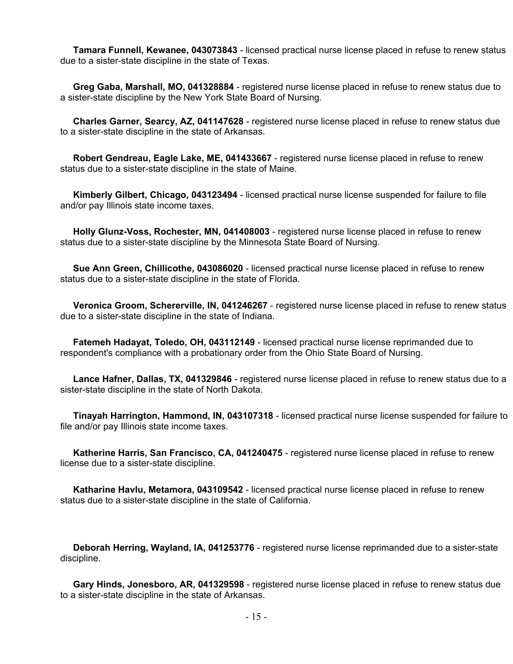**Tamara Funnell, Kewanee, 043073843** - licensed practical nurse license placed in refuse to renew status due to a sister-state discipline in the state of Texas.

 **Greg Gaba, Marshall, MO, 041328884** - registered nurse license placed in refuse to renew status due to a sister-state discipline by the New York State Board of Nursing.

 **Charles Garner, Searcy, AZ, 041147628** - registered nurse license placed in refuse to renew status due to a sister-state discipline in the state of Arkansas.

 **Robert Gendreau, Eagle Lake, ME, 041433667** - registered nurse license placed in refuse to renew status due to a sister-state discipline in the state of Maine.

 **Kimberly Gilbert, Chicago, 043123494** - licensed practical nurse license suspended for failure to file and/or pay Illinois state income taxes.

 **Holly Glunz-Voss, Rochester, MN, 041408003** - registered nurse license placed in refuse to renew status due to a sister-state discipline by the Minnesota State Board of Nursing.

 **Sue Ann Green, Chillicothe, 043086020** - licensed practical nurse license placed in refuse to renew status due to a sister-state discipline in the state of Florida.

 **Veronica Groom, Schererville, IN, 041246267** - registered nurse license placed in refuse to renew status due to a sister-state discipline in the state of Indiana.

 **Fatemeh Hadayat, Toledo, OH, 043112149** - licensed practical nurse license reprimanded due to respondent's compliance with a probationary order from the Ohio State Board of Nursing.

 **Lance Hafner, Dallas, TX, 041329846** - registered nurse license placed in refuse to renew status due to a sister-state discipline in the state of North Dakota.

 **Tinayah Harrington, Hammond, IN, 043107318** - licensed practical nurse license suspended for failure to file and/or pay Illinois state income taxes.

 **Katherine Harris, San Francisco, CA, 041240475** - registered nurse license placed in refuse to renew license due to a sister-state discipline.

 **Katharine Havlu, Metamora, 043109542** - licensed practical nurse license placed in refuse to renew status due to a sister-state discipline in the state of California.

 **Deborah Herring, Wayland, IA, 041253776** - registered nurse license reprimanded due to a sister-state discipline.

 **Gary Hinds, Jonesboro, AR, 041329598** - registered nurse license placed in refuse to renew status due to a sister-state discipline in the state of Arkansas.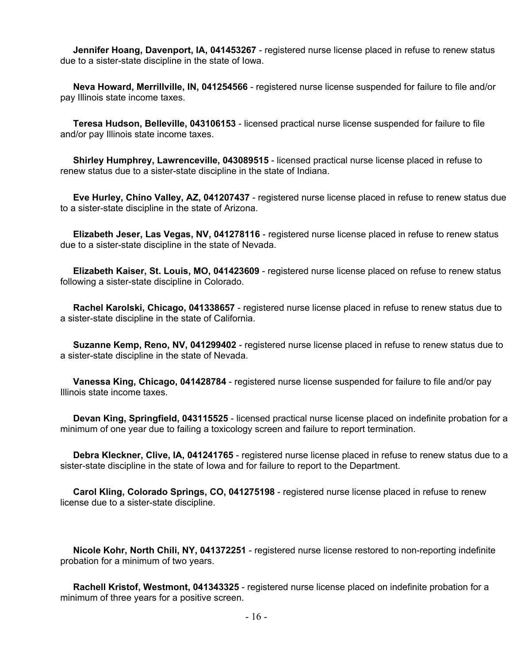**Jennifer Hoang, Davenport, IA, 041453267** - registered nurse license placed in refuse to renew status due to a sister-state discipline in the state of Iowa.

 **Neva Howard, Merrillville, IN, 041254566** - registered nurse license suspended for failure to file and/or pay Illinois state income taxes.

 **Teresa Hudson, Belleville, 043106153** - licensed practical nurse license suspended for failure to file and/or pay Illinois state income taxes.

 **Shirley Humphrey, Lawrenceville, 043089515** - licensed practical nurse license placed in refuse to renew status due to a sister-state discipline in the state of Indiana.

 **Eve Hurley, Chino Valley, AZ, 041207437** - registered nurse license placed in refuse to renew status due to a sister-state discipline in the state of Arizona.

 **Elizabeth Jeser, Las Vegas, NV, 041278116** - registered nurse license placed in refuse to renew status due to a sister-state discipline in the state of Nevada.

 **Elizabeth Kaiser, St. Louis, MO, 041423609** - registered nurse license placed on refuse to renew status following a sister-state discipline in Colorado.

 **Rachel Karolski, Chicago, 041338657** - registered nurse license placed in refuse to renew status due to a sister-state discipline in the state of California.

 **Suzanne Kemp, Reno, NV, 041299402** - registered nurse license placed in refuse to renew status due to a sister-state discipline in the state of Nevada.

 **Vanessa King, Chicago, 041428784** - registered nurse license suspended for failure to file and/or pay Illinois state income taxes.

 **Devan King, Springfield, 043115525** - licensed practical nurse license placed on indefinite probation for a minimum of one year due to failing a toxicology screen and failure to report termination.

 **Debra Kleckner, Clive, IA, 041241765** - registered nurse license placed in refuse to renew status due to a sister-state discipline in the state of Iowa and for failure to report to the Department.

 **Carol Kling, Colorado Springs, CO, 041275198** - registered nurse license placed in refuse to renew license due to a sister-state discipline.

 **Nicole Kohr, North Chili, NY, 041372251** - registered nurse license restored to non-reporting indefinite probation for a minimum of two years.

 **Rachell Kristof, Westmont, 041343325** - registered nurse license placed on indefinite probation for a minimum of three years for a positive screen.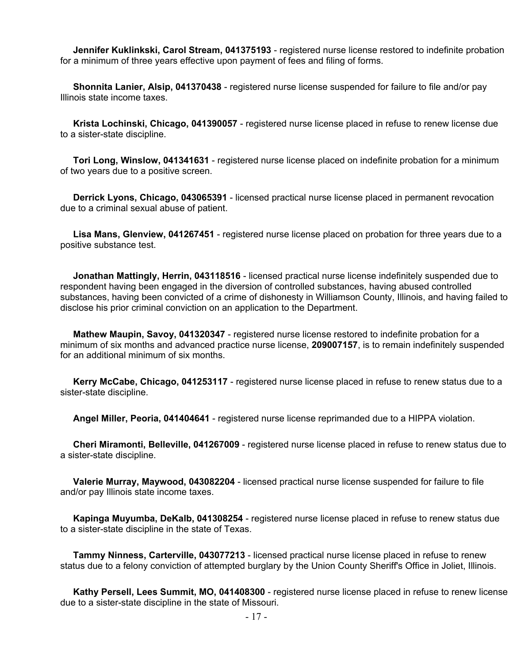**Jennifer Kuklinkski, Carol Stream, 041375193** - registered nurse license restored to indefinite probation for a minimum of three years effective upon payment of fees and filing of forms.

 **Shonnita Lanier, Alsip, 041370438** - registered nurse license suspended for failure to file and/or pay Illinois state income taxes.

 **Krista Lochinski, Chicago, 041390057** - registered nurse license placed in refuse to renew license due to a sister-state discipline.

 **Tori Long, Winslow, 041341631** - registered nurse license placed on indefinite probation for a minimum of two years due to a positive screen.

 **Derrick Lyons, Chicago, 043065391** - licensed practical nurse license placed in permanent revocation due to a criminal sexual abuse of patient.

 **Lisa Mans, Glenview, 041267451** - registered nurse license placed on probation for three years due to a positive substance test.

 **Jonathan Mattingly, Herrin, 043118516** - licensed practical nurse license indefinitely suspended due to respondent having been engaged in the diversion of controlled substances, having abused controlled substances, having been convicted of a crime of dishonesty in Williamson County, Illinois, and having failed to disclose his prior criminal conviction on an application to the Department.

 **Mathew Maupin, Savoy, 041320347** - registered nurse license restored to indefinite probation for a minimum of six months and advanced practice nurse license, **209007157**, is to remain indefinitely suspended for an additional minimum of six months.

 **Kerry McCabe, Chicago, 041253117** - registered nurse license placed in refuse to renew status due to a sister-state discipline.

**Angel Miller, Peoria, 041404641** - registered nurse license reprimanded due to a HIPPA violation.

 **Cheri Miramonti, Belleville, 041267009** - registered nurse license placed in refuse to renew status due to a sister-state discipline.

 **Valerie Murray, Maywood, 043082204** - licensed practical nurse license suspended for failure to file and/or pay Illinois state income taxes.

 **Kapinga Muyumba, DeKalb, 041308254** - registered nurse license placed in refuse to renew status due to a sister-state discipline in the state of Texas.

 **Tammy Ninness, Carterville, 043077213** - licensed practical nurse license placed in refuse to renew status due to a felony conviction of attempted burglary by the Union County Sheriff's Office in Joliet, Illinois.

 **Kathy Persell, Lees Summit, MO, 041408300** - registered nurse license placed in refuse to renew license due to a sister-state discipline in the state of Missouri.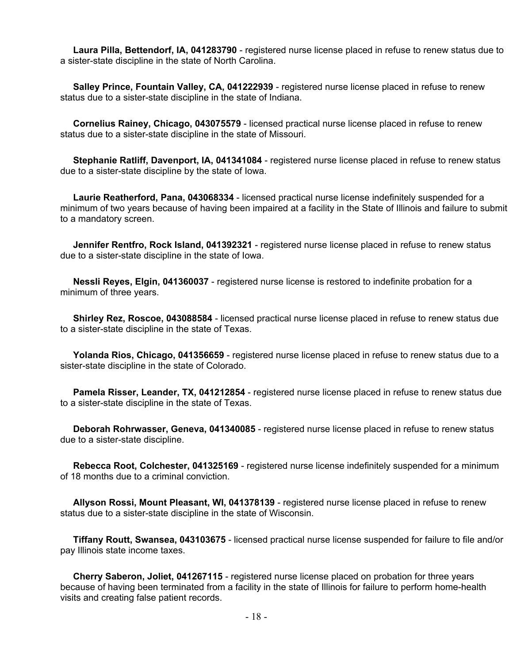**Laura Pilla, Bettendorf, IA, 041283790** - registered nurse license placed in refuse to renew status due to a sister-state discipline in the state of North Carolina.

 **Salley Prince, Fountain Valley, CA, 041222939** - registered nurse license placed in refuse to renew status due to a sister-state discipline in the state of Indiana.

 **Cornelius Rainey, Chicago, 043075579** - licensed practical nurse license placed in refuse to renew status due to a sister-state discipline in the state of Missouri.

 **Stephanie Ratliff, Davenport, IA, 041341084** - registered nurse license placed in refuse to renew status due to a sister-state discipline by the state of Iowa.

 **Laurie Reatherford, Pana, 043068334** - licensed practical nurse license indefinitely suspended for a minimum of two years because of having been impaired at a facility in the State of Illinois and failure to submit to a mandatory screen.

 **Jennifer Rentfro, Rock Island, 041392321** - registered nurse license placed in refuse to renew status due to a sister-state discipline in the state of Iowa.

 **Nessli Reyes, Elgin, 041360037** - registered nurse license is restored to indefinite probation for a minimum of three years.

 **Shirley Rez, Roscoe, 043088584** - licensed practical nurse license placed in refuse to renew status due to a sister-state discipline in the state of Texas.

 **Yolanda Rios, Chicago, 041356659** - registered nurse license placed in refuse to renew status due to a sister-state discipline in the state of Colorado.

 **Pamela Risser, Leander, TX, 041212854** - registered nurse license placed in refuse to renew status due to a sister-state discipline in the state of Texas.

 **Deborah Rohrwasser, Geneva, 041340085** - registered nurse license placed in refuse to renew status due to a sister-state discipline.

 **Rebecca Root, Colchester, 041325169** - registered nurse license indefinitely suspended for a minimum of 18 months due to a criminal conviction.

 **Allyson Rossi, Mount Pleasant, WI, 041378139** - registered nurse license placed in refuse to renew status due to a sister-state discipline in the state of Wisconsin.

 **Tiffany Routt, Swansea, 043103675** - licensed practical nurse license suspended for failure to file and/or pay Illinois state income taxes.

 **Cherry Saberon, Joliet, 041267115** - registered nurse license placed on probation for three years because of having been terminated from a facility in the state of Illinois for failure to perform home-health visits and creating false patient records.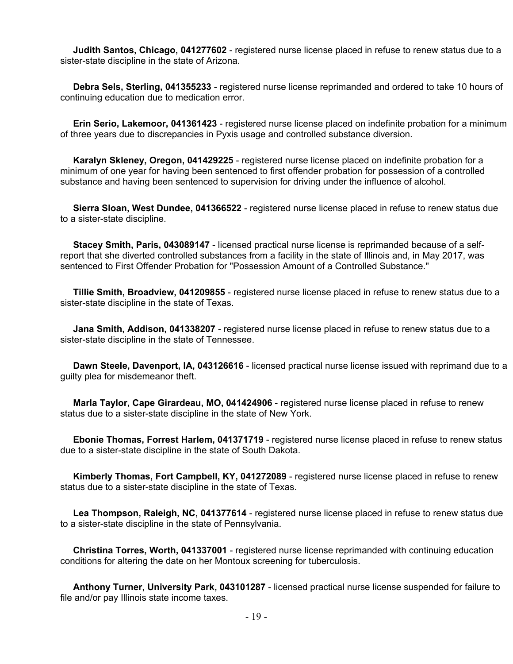**Judith Santos, Chicago, 041277602** - registered nurse license placed in refuse to renew status due to a sister-state discipline in the state of Arizona.

 **Debra Sels, Sterling, 041355233** - registered nurse license reprimanded and ordered to take 10 hours of continuing education due to medication error.

 **Erin Serio, Lakemoor, 041361423** - registered nurse license placed on indefinite probation for a minimum of three years due to discrepancies in Pyxis usage and controlled substance diversion.

 **Karalyn Skleney, Oregon, 041429225** - registered nurse license placed on indefinite probation for a minimum of one year for having been sentenced to first offender probation for possession of a controlled substance and having been sentenced to supervision for driving under the influence of alcohol.

 **Sierra Sloan, West Dundee, 041366522** - registered nurse license placed in refuse to renew status due to a sister-state discipline.

 **Stacey Smith, Paris, 043089147** - licensed practical nurse license is reprimanded because of a selfreport that she diverted controlled substances from a facility in the state of Illinois and, in May 2017, was sentenced to First Offender Probation for "Possession Amount of a Controlled Substance."

 **Tillie Smith, Broadview, 041209855** - registered nurse license placed in refuse to renew status due to a sister-state discipline in the state of Texas.

 **Jana Smith, Addison, 041338207** - registered nurse license placed in refuse to renew status due to a sister-state discipline in the state of Tennessee.

 **Dawn Steele, Davenport, IA, 043126616** - licensed practical nurse license issued with reprimand due to a guilty plea for misdemeanor theft.

 **Marla Taylor, Cape Girardeau, MO, 041424906** - registered nurse license placed in refuse to renew status due to a sister-state discipline in the state of New York.

 **Ebonie Thomas, Forrest Harlem, 041371719** - registered nurse license placed in refuse to renew status due to a sister-state discipline in the state of South Dakota.

 **Kimberly Thomas, Fort Campbell, KY, 041272089** - registered nurse license placed in refuse to renew status due to a sister-state discipline in the state of Texas.

 **Lea Thompson, Raleigh, NC, 041377614** - registered nurse license placed in refuse to renew status due to a sister-state discipline in the state of Pennsylvania.

 **Christina Torres, Worth, 041337001** - registered nurse license reprimanded with continuing education conditions for altering the date on her Montoux screening for tuberculosis.

 **Anthony Turner, University Park, 043101287** - licensed practical nurse license suspended for failure to file and/or pay Illinois state income taxes.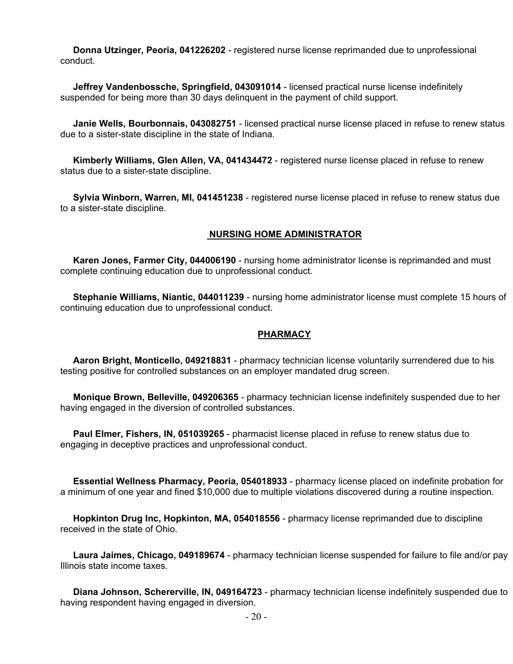**Donna Utzinger, Peoria, 041226202** - registered nurse license reprimanded due to unprofessional conduct.

 **Jeffrey Vandenbossche, Springfield, 043091014** - licensed practical nurse license indefinitely suspended for being more than 30 days delinquent in the payment of child support.

 **Janie Wells, Bourbonnais, 043082751** - licensed practical nurse license placed in refuse to renew status due to a sister-state discipline in the state of Indiana.

 **Kimberly Williams, Glen Allen, VA, 041434472** - registered nurse license placed in refuse to renew status due to a sister-state discipline.

 **Sylvia Winborn, Warren, MI, 041451238** - registered nurse license placed in refuse to renew status due to a sister-state discipline.

#### **NURSING HOME ADMINISTRATOR**

 **Karen Jones, Farmer City, 044006190** - nursing home administrator license is reprimanded and must complete continuing education due to unprofessional conduct.

 **Stephanie Williams, Niantic, 044011239** - nursing home administrator license must complete 15 hours of continuing education due to unprofessional conduct.

#### **PHARMACY**

 **Aaron Bright, Monticello, 049218831** - pharmacy technician license voluntarily surrendered due to his testing positive for controlled substances on an employer mandated drug screen.

 **Monique Brown, Belleville, 049206365** - pharmacy technician license indefinitely suspended due to her having engaged in the diversion of controlled substances.

 **Paul Elmer, Fishers, IN, 051039265** - pharmacist license placed in refuse to renew status due to engaging in deceptive practices and unprofessional conduct.

 **Essential Wellness Pharmacy, Peoria, 054018933** - pharmacy license placed on indefinite probation for a minimum of one year and fined \$10,000 due to multiple violations discovered during a routine inspection.

 **Hopkinton Drug Inc, Hopkinton, MA, 054018556** - pharmacy license reprimanded due to discipline received in the state of Ohio.

 **Laura Jaimes, Chicago, 049189674** - pharmacy technician license suspended for failure to file and/or pay Illinois state income taxes.

 **Diana Johnson, Schererville, IN, 049164723** - pharmacy technician license indefinitely suspended due to having respondent having engaged in diversion.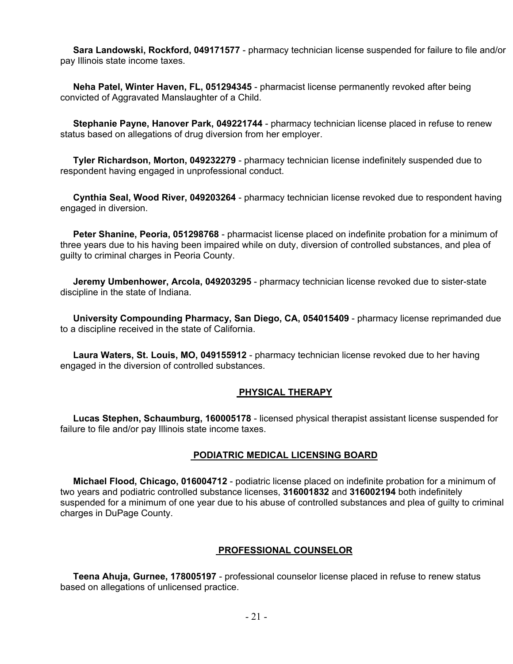**Sara Landowski, Rockford, 049171577** - pharmacy technician license suspended for failure to file and/or pay Illinois state income taxes.

 **Neha Patel, Winter Haven, FL, 051294345** - pharmacist license permanently revoked after being convicted of Aggravated Manslaughter of a Child.

 **Stephanie Payne, Hanover Park, 049221744** - pharmacy technician license placed in refuse to renew status based on allegations of drug diversion from her employer.

 **Tyler Richardson, Morton, 049232279** - pharmacy technician license indefinitely suspended due to respondent having engaged in unprofessional conduct.

 **Cynthia Seal, Wood River, 049203264** - pharmacy technician license revoked due to respondent having engaged in diversion.

 **Peter Shanine, Peoria, 051298768** - pharmacist license placed on indefinite probation for a minimum of three years due to his having been impaired while on duty, diversion of controlled substances, and plea of guilty to criminal charges in Peoria County.

 **Jeremy Umbenhower, Arcola, 049203295** - pharmacy technician license revoked due to sister-state discipline in the state of Indiana.

 **University Compounding Pharmacy, San Diego, CA, 054015409** - pharmacy license reprimanded due to a discipline received in the state of California.

 **Laura Waters, St. Louis, MO, 049155912** - pharmacy technician license revoked due to her having engaged in the diversion of controlled substances.

#### **PHYSICAL THERAPY**

 **Lucas Stephen, Schaumburg, 160005178** - licensed physical therapist assistant license suspended for failure to file and/or pay Illinois state income taxes.

#### **PODIATRIC MEDICAL LICENSING BOARD**

 **Michael Flood, Chicago, 016004712** - podiatric license placed on indefinite probation for a minimum of two years and podiatric controlled substance licenses, **316001832** and **316002194** both indefinitely suspended for a minimum of one year due to his abuse of controlled substances and plea of guilty to criminal charges in DuPage County.

#### **PROFESSIONAL COUNSELOR**

 **Teena Ahuja, Gurnee, 178005197** - professional counselor license placed in refuse to renew status based on allegations of unlicensed practice.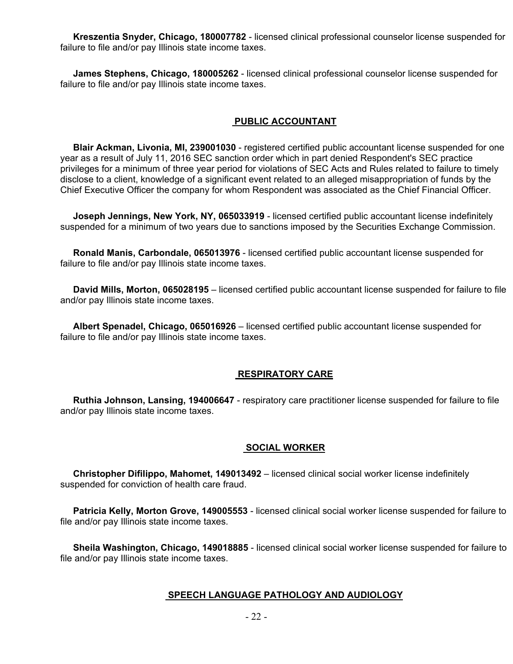**Kreszentia Snyder, Chicago, 180007782** - licensed clinical professional counselor license suspended for failure to file and/or pay Illinois state income taxes.

 **James Stephens, Chicago, 180005262** - licensed clinical professional counselor license suspended for failure to file and/or pay Illinois state income taxes.

#### **PUBLIC ACCOUNTANT**

 **Blair Ackman, Livonia, MI, 239001030** - registered certified public accountant license suspended for one year as a result of July 11, 2016 SEC sanction order which in part denied Respondent's SEC practice privileges for a minimum of three year period for violations of SEC Acts and Rules related to failure to timely disclose to a client, knowledge of a significant event related to an alleged misappropriation of funds by the Chief Executive Officer the company for whom Respondent was associated as the Chief Financial Officer.

 **Joseph Jennings, New York, NY, 065033919** - licensed certified public accountant license indefinitely suspended for a minimum of two years due to sanctions imposed by the Securities Exchange Commission.

 **Ronald Manis, Carbondale, 065013976** - licensed certified public accountant license suspended for failure to file and/or pay Illinois state income taxes.

 **David Mills, Morton, 065028195** – licensed certified public accountant license suspended for failure to file and/or pay Illinois state income taxes.

 **Albert Spenadel, Chicago, 065016926** – licensed certified public accountant license suspended for failure to file and/or pay Illinois state income taxes.

#### **RESPIRATORY CARE**

 **Ruthia Johnson, Lansing, 194006647** - respiratory care practitioner license suspended for failure to file and/or pay Illinois state income taxes.

#### **SOCIAL WORKER**

 **Christopher Difilippo, Mahomet, 149013492** – licensed clinical social worker license indefinitely suspended for conviction of health care fraud.

 **Patricia Kelly, Morton Grove, 149005553** - licensed clinical social worker license suspended for failure to file and/or pay Illinois state income taxes.

 **Sheila Washington, Chicago, 149018885** - licensed clinical social worker license suspended for failure to file and/or pay Illinois state income taxes.

#### **SPEECH LANGUAGE PATHOLOGY AND AUDIOLOGY**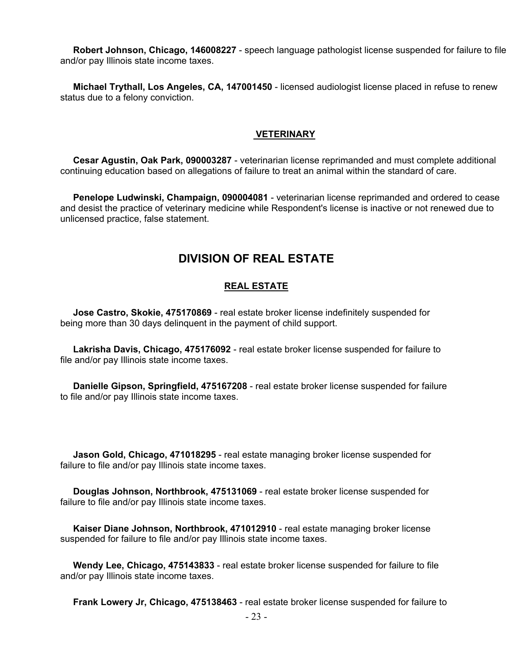**Robert Johnson, Chicago, 146008227** - speech language pathologist license suspended for failure to file and/or pay Illinois state income taxes.

 **Michael Trythall, Los Angeles, CA, 147001450** - licensed audiologist license placed in refuse to renew status due to a felony conviction.

#### **VETERINARY**

 **Cesar Agustin, Oak Park, 090003287** - veterinarian license reprimanded and must complete additional continuing education based on allegations of failure to treat an animal within the standard of care.

 **Penelope Ludwinski, Champaign, 090004081** - veterinarian license reprimanded and ordered to cease and desist the practice of veterinary medicine while Respondent's license is inactive or not renewed due to unlicensed practice, false statement.

## **DIVISION OF REAL ESTATE**

#### **REAL ESTATE**

 **Jose Castro, Skokie, 475170869** - real estate broker license indefinitely suspended for being more than 30 days delinquent in the payment of child support.

 **Lakrisha Davis, Chicago, 475176092** - real estate broker license suspended for failure to file and/or pay Illinois state income taxes.

 **Danielle Gipson, Springfield, 475167208** - real estate broker license suspended for failure to file and/or pay Illinois state income taxes.

 **Jason Gold, Chicago, 471018295** - real estate managing broker license suspended for failure to file and/or pay Illinois state income taxes.

 **Douglas Johnson, Northbrook, 475131069** - real estate broker license suspended for failure to file and/or pay Illinois state income taxes.

 **Kaiser Diane Johnson, Northbrook, 471012910** - real estate managing broker license suspended for failure to file and/or pay Illinois state income taxes.

 **Wendy Lee, Chicago, 475143833** - real estate broker license suspended for failure to file and/or pay Illinois state income taxes.

**Frank Lowery Jr, Chicago, 475138463** - real estate broker license suspended for failure to